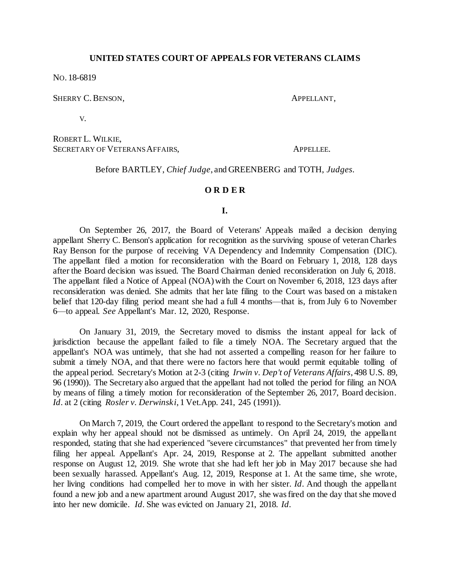# **UNITED STATES COURT OF APPEALS FOR VETERANS CLAIMS**

NO. 18-6819

SHERRY C. BENSON,  $APPELLANT$ ,

V.

ROBERT L. WILKIE, SECRETARY OF VETERANS AFFAIRS, APPELLEE.

Before BARTLEY, *Chief Judge*, and GREENBERG and TOTH, *Judges.*

#### **O R D E R**

### **I.**

On September 26, 2017, the Board of Veterans' Appeals mailed a decision denying appellant Sherry C. Benson's application for recognition as the surviving spouse of veteran Charles Ray Benson for the purpose of receiving VA Dependency and Indemnity Compensation (DIC). The appellant filed a motion for reconsideration with the Board on February 1, 2018, 128 days after the Board decision was issued. The Board Chairman denied reconsideration on July 6, 2018. The appellant filed a Notice of Appeal (NOA) with the Court on November 6, 2018, 123 days after reconsideration was denied. She admits that her late filing to the Court was based on a mistaken belief that 120-day filing period meant she had a full 4 months—that is, from July 6 to November 6—to appeal. *See* Appellant's Mar. 12, 2020, Response.

On January 31, 2019, the Secretary moved to dismiss the instant appeal for lack of jurisdiction because the appellant failed to file a timely NOA. The Secretary argued that the appellant's NOA was untimely, that she had not asserted a compelling reason for her failure to submit a timely NOA, and that there were no factors here that would permit equitable tolling of the appeal period. Secretary's Motion at 2-3 (citing *Irwin v. Dep't of Veterans Affairs*, 498 U.S. 89, 96 (1990)). The Secretary also argued that the appellant had not tolled the period for filing an NOA by means of filing a timely motion for reconsideration of the September 26, 2017, Board decision. *Id*. at 2 (citing *Rosler v. Derwinski*, 1 Vet.App. 241, 245 (1991)).

On March 7, 2019, the Court ordered the appellant to respond to the Secretary's motion and explain why her appeal should not be dismissed as untimely. On April 24, 2019, the appellant responded, stating that she had experienced "severe circumstances" that prevented her from timely filing her appeal. Appellant's Apr. 24, 2019, Response at 2. The appellant submitted another response on August 12, 2019. She wrote that she had left her job in May 2017 because she had been sexually harassed. Appellant's Aug. 12, 2019, Response at 1. At the same time, she wrote, her living conditions had compelled her to move in with her sister. *Id*. And though the appellant found a new job and a new apartment around August 2017, she was fired on the day that she moved into her new domicile. *Id*. She was evicted on January 21, 2018. *Id*.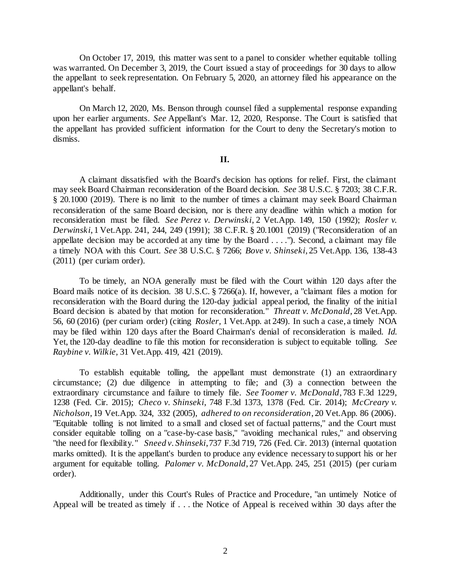On October 17, 2019, this matter was sent to a panel to consider whether equitable tolling was warranted. On December 3, 2019, the Court issued a stay of proceedings for 30 days to allow the appellant to seek representation. On February 5, 2020, an attorney filed his appearance on the appellant's behalf.

On March 12, 2020, Ms. Benson through counsel filed a supplemental response expanding upon her earlier arguments. *See* Appellant's Mar. 12, 2020, Response. The Court is satisfied that the appellant has provided sufficient information for the Court to deny the Secretary's motion to dismiss.

# **II.**

A claimant dissatisfied with the Board's decision has options for relief. First, the claimant may seek Board Chairman reconsideration of the Board decision. *See* 38 U.S.C. § 7203; 38 C.F.R. § 20.1000 (2019). There is no limit to the number of times a claimant may seek Board Chairman reconsideration of the same Board decision, nor is there any deadline within which a motion for reconsideration must be filed. *See Perez v. Derwinski*, 2 Vet.App. 149, 150 (1992); *Rosler v. Derwinski*, 1 Vet.App. 241, 244, 249 (1991); 38 C.F.R. § 20.1001 (2019) ("Reconsideration of an appellate decision may be accorded at any time by the Board . . . ."). Second, a claimant may file a timely NOA with this Court. *See* 38 U.S.C. § 7266; *Bove v. Shinseki*, 25 Vet.App. 136, 138-43 (2011) (per curiam order).

To be timely, an NOA generally must be filed with the Court within 120 days after the Board mails notice of its decision. 38 U.S.C. § 7266(a). If, however, a "claimant files a motion for reconsideration with the Board during the 120-day judicial appeal period, the finality of the initial Board decision is abated by that motion for reconsideration." *Threatt v. McDonald*, 28 Vet.App. 56, 60 (2016) (per curiam order) (citing *Rosler,* 1 Vet.App. at 249). In such a case, a timely NOA may be filed within 120 days after the Board Chairman's denial of reconsideration is mailed. *Id*. Yet, the 120-day deadline to file this motion for reconsideration is subject to equitable tolling. *See Raybine v. Wilkie,* 31 Vet.App. 419, 421 (2019).

To establish equitable tolling, the appellant must demonstrate (1) an extraordinary circumstance; (2) due diligence in attempting to file; and (3) a connection between the extraordinary circumstance and failure to timely file. *See Toomer v. McDonald*, 783 F.3d 1229, 1238 (Fed. Cir. 2015); *Checo v. Shinseki*, 748 F.3d 1373, 1378 (Fed. Cir. 2014); *McCreary v. Nicholson*, 19 Vet.App. 324, 332 (2005), *adhered to on reconsideration*, 20 Vet.App. 86 (2006). "Equitable tolling is not limited to a small and closed set of factual patterns," and the Court must consider equitable tolling on a "case-by-case basis," "avoiding mechanical rules," and observing "the need for flexibility." *Sneed v. Shinseki*, 737 F.3d 719, 726 (Fed. Cir. 2013) (internal quotation marks omitted). It is the appellant's burden to produce any evidence necessary to support his or her argument for equitable tolling. *Palomer v. McDonald*, 27 Vet.App. 245, 251 (2015) (per curiam order).

Additionally, under this Court's Rules of Practice and Procedure, "an untimely Notice of Appeal will be treated as timely if . . . the Notice of Appeal is received within 30 days after the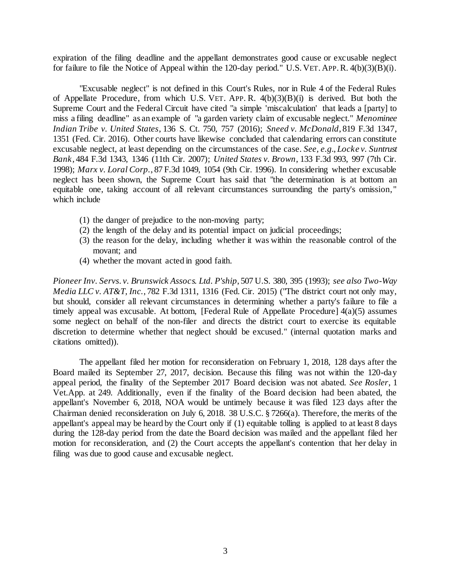expiration of the filing deadline and the appellant demonstrates good cause or excusable neglect for failure to file the Notice of Appeal within the 120-day period." U.S. VET. APP.R. 4(b)(3)(B)(i).

"Excusable neglect" is not defined in this Court's Rules, nor in Rule 4 of the Federal Rules of Appellate Procedure, from which U.S. VET. APP. R. 4(b)(3)(B)(i) is derived. But both the Supreme Court and the Federal Circuit have cited "a simple 'miscalculation' that leads a [party] to miss a filing deadline" as an example of "a garden variety claim of excusable neglect." *Menominee Indian Tribe v. United States*, 136 S. Ct. 750, 757 (2016); *Sneed v. McDonald*, 819 F.3d 1347, 1351 (Fed. Cir. 2016). Other courts have likewise concluded that calendaring errors can constitute excusable neglect, at least depending on the circumstances of the case. *See, e.g.*, *Locke v. Suntrust Bank*, 484 F.3d 1343, 1346 (11th Cir. 2007); *United States v. Brown*, 133 F.3d 993, 997 (7th Cir. 1998); *Marx v. Loral Corp.*, 87 F.3d 1049, 1054 (9th Cir. 1996). In considering whether excusable neglect has been shown, the Supreme Court has said that "the determination is at bottom an equitable one, taking account of all relevant circumstances surrounding the party's omission," which include

- (1) the danger of prejudice to the non-moving party;
- (2) the length of the delay and its potential impact on judicial proceedings;
- (3) the reason for the delay, including whether it was within the reasonable control of the movant; and
- (4) whether the movant acted in good faith.

*Pioneer Inv. Servs. v. Brunswick Assocs. Ltd. P'ship*, 507 U.S. 380, 395 (1993); *see also Two-Way Media LLC v. AT&T, Inc.*, 782 F.3d 1311, 1316 (Fed. Cir. 2015) ("The district court not only may, but should, consider all relevant circumstances in determining whether a party's failure to file a timely appeal was excusable. At bottom, [Federal Rule of Appellate Procedure]  $4(a)(5)$  assumes some neglect on behalf of the non-filer and directs the district court to exercise its equitable discretion to determine whether that neglect should be excused." (internal quotation marks and citations omitted)).

The appellant filed her motion for reconsideration on February 1, 2018, 128 days after the Board mailed its September 27, 2017, decision. Because this filing was not within the 120-day appeal period, the finality of the September 2017 Board decision was not abated. *See Rosler*, 1 Vet.App. at 249. Additionally, even if the finality of the Board decision had been abated, the appellant's November 6, 2018, NOA would be untimely because it was filed 123 days after the Chairman denied reconsideration on July 6, 2018. 38 U.S.C. § 7266(a). Therefore, the merits of the appellant's appeal may be heard by the Court only if (1) equitable tolling is applied to at least 8 days during the 128-day period from the date the Board decision was mailed and the appellant filed her motion for reconsideration, and (2) the Court accepts the appellant's contention that her delay in filing was due to good cause and excusable neglect.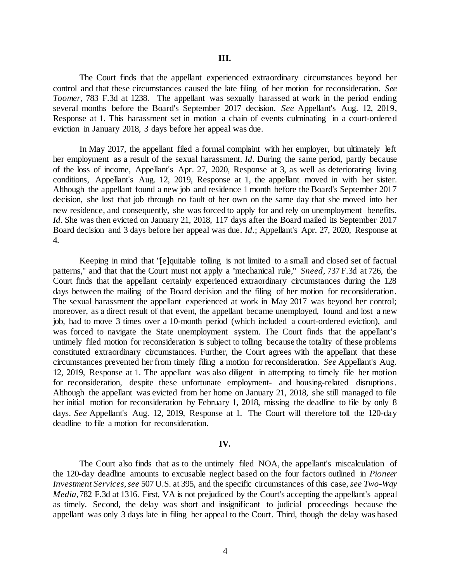The Court finds that the appellant experienced extraordinary circumstances beyond her control and that these circumstances caused the late filing of her motion for reconsideration. *See Toomer,* 783 F.3d at 1238. The appellant was sexually harassed at work in the period ending several months before the Board's September 2017 decision. *See* Appellant's Aug. 12, 2019, Response at 1. This harassment set in motion a chain of events culminating in a court-ordered eviction in January 2018, 3 days before her appeal was due.

In May 2017, the appellant filed a formal complaint with her employer, but ultimately left her employment as a result of the sexual harassment. *Id.* During the same period, partly because of the loss of income, Appellant's Apr. 27, 2020, Response at 3, as well as deteriorating living conditions, Appellant's Aug. 12, 2019, Response at 1, the appellant moved in with her sister. Although the appellant found a new job and residence 1 month before the Board's September 2017 decision, she lost that job through no fault of her own on the same day that she moved into her new residence, and consequently, she was forced to apply for and rely on unemployment benefits. *Id*. She was then evicted on January 21, 2018, 117 days after the Board mailed its September 2017 Board decision and 3 days before her appeal was due. *Id.*; Appellant's Apr. 27, 2020, Response at 4.

Keeping in mind that "[e]quitable tolling is not limited to a small and closed set of factual patterns," and that that the Court must not apply a "mechanical rule," *Sneed,* 737 F.3d at 726, the Court finds that the appellant certainly experienced extraordinary circumstances during the 128 days between the mailing of the Board decision and the filing of her motion for reconsideration. The sexual harassment the appellant experienced at work in May 2017 was beyond her control; moreover, as a direct result of that event, the appellant became unemployed, found and lost a new job, had to move 3 times over a 10-month period (which included a court-ordered eviction), and was forced to navigate the State unemployment system. The Court finds that the appellant's untimely filed motion for reconsideration is subject to tolling because the totality of these problems constituted extraordinary circumstances. Further, the Court agrees with the appellant that these circumstances prevented her from timely filing a motion for reconsideration. *See* Appellant's Aug. 12, 2019, Response at 1. The appellant was also diligent in attempting to timely file her motion for reconsideration, despite these unfortunate employment- and housing-related disruptions. Although the appellant was evicted from her home on January 21, 2018, she still managed to file her initial motion for reconsideration by February 1, 2018, missing the deadline to file by only 8 days. *See* Appellant's Aug. 12, 2019, Response at 1. The Court will therefore toll the 120-day deadline to file a motion for reconsideration.

#### **IV.**

The Court also finds that as to the untimely filed NOA, the appellant's miscalculation of the 120-day deadline amounts to excusable neglect based on the four factors outlined in *Pioneer Investment Services*,*see* 507 U.S. at 395, and the specific circumstances of this case, *see Two-Way Media*, 782 F.3d at 1316. First, VA is not prejudiced by the Court's accepting the appellant's appeal as timely. Second, the delay was short and insignificant to judicial proceedings because the appellant was only 3 days late in filing her appeal to the Court. Third, though the delay was based